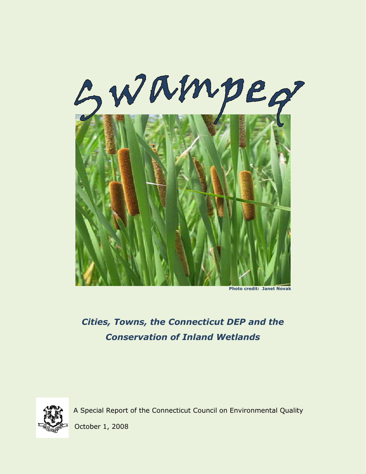

 **Photo credit: Janet Novak**

# *Cities, Towns, the Connecticut DEP and the Conservation of Inland Wetlands*



A Special Report of the Connecticut Council on Environmental Quality

October 1, 2008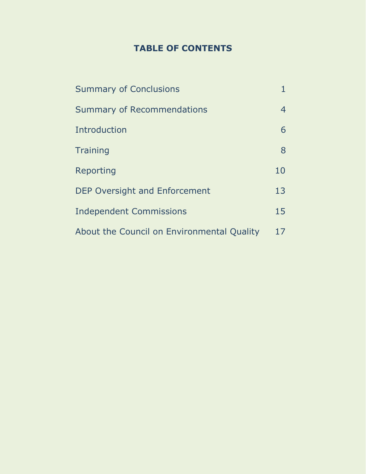# **TABLE OF CONTENTS**

| <b>Summary of Conclusions</b>              |    |
|--------------------------------------------|----|
| <b>Summary of Recommendations</b>          | 4  |
| Introduction                               | 6  |
| <b>Training</b>                            | 8  |
| Reporting                                  | 10 |
| <b>DEP Oversight and Enforcement</b>       | 13 |
| <b>Independent Commissions</b>             | 15 |
| About the Council on Environmental Quality | 17 |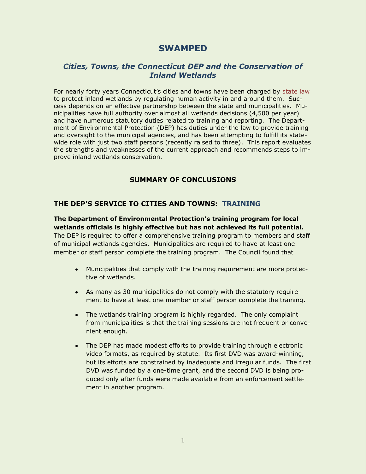# **SWAMPED**

# *Cities, Towns, the Connecticut DEP and the Conservation of Inland Wetlands*

For nearly forty years Connecticut"s cities and towns have been charged by [state law](http://www.cga.ct.gov/2007/pub/Chap440.htm#Sec22a-36.htm) to protect inland wetlands by regulating human activity in and around them. Success depends on an effective partnership between the state and municipalities. Municipalities have full authority over almost all wetlands decisions (4,500 per year) and have numerous statutory duties related to training and reporting. The Department of Environmental Protection (DEP) has duties under the law to provide training and oversight to the municipal agencies, and has been attempting to fulfill its statewide role with just two staff persons (recently raised to three). This report evaluates the strengths and weaknesses of the current approach and recommends steps to improve inland wetlands conservation.

### **SUMMARY OF CONCLUSIONS**

### **THE DEP'S SERVICE TO CITIES AND TOWNS: TRAINING**

**The Department of Environmental Protection's training program for local wetlands officials is highly effective but has not achieved its full potential.**

The DEP is required to offer a comprehensive training program to members and staff of municipal wetlands agencies. Municipalities are required to have at least one member or staff person complete the training program. The Council found that

- Municipalities that comply with the training requirement are more protective of wetlands.
- As many as 30 municipalities do not comply with the statutory requirement to have at least one member or staff person complete the training.
- The wetlands training program is highly regarded. The only complaint  $\bullet$ from municipalities is that the training sessions are not frequent or convenient enough.
- The DEP has made modest efforts to provide training through electronic video formats, as required by statute. Its first DVD was award-winning, but its efforts are constrained by inadequate and irregular funds. The first DVD was funded by a one-time grant, and the second DVD is being produced only after funds were made available from an enforcement settlement in another program.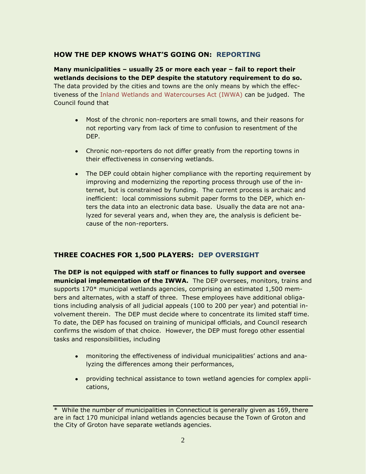## **HOW THE DEP KNOWS WHAT'S GOING ON: REPORTING**

**Many municipalities – usually 25 or more each year – fail to report their wetlands decisions to the DEP despite the statutory requirement to do so.** The data provided by the cities and towns are the only means by which the effectiveness of the [Inland Wetlands and Watercourses Act \(IWWA\)](http://www.cga.ct.gov/2007/pub/Chap440.htm#Sec22a-36.htm) can be judged. The Council found that

- Most of the chronic non-reporters are small towns, and their reasons for  $\bullet$ not reporting vary from lack of time to confusion to resentment of the DEP.
- Chronic non-reporters do not differ greatly from the reporting towns in their effectiveness in conserving wetlands.
- The DEP could obtain higher compliance with the reporting requirement by improving and modernizing the reporting process through use of the internet, but is constrained by funding. The current process is archaic and inefficient: local commissions submit paper forms to the DEP, which enters the data into an electronic data base. Usually the data are not analyzed for several years and, when they are, the analysis is deficient because of the non-reporters.

## **THREE COACHES FOR 1,500 PLAYERS: DEP OVERSIGHT**

**The DEP is not equipped with staff or finances to fully support and oversee municipal implementation of the IWWA.** The DEP oversees, monitors, trains and supports 170\* municipal wetlands agencies, comprising an estimated 1,500 members and alternates, with a staff of three. These employees have additional obligations including analysis of all judicial appeals (100 to 200 per year) and potential involvement therein. The DEP must decide where to concentrate its limited staff time. To date, the DEP has focused on training of municipal officials, and Council research confirms the wisdom of that choice. However, the DEP must forego other essential tasks and responsibilities, including

- monitoring the effectiveness of individual municipalities" actions and analyzing the differences among their performances,
- providing technical assistance to town wetland agencies for complex applications,

<sup>\*</sup> While the number of municipalities in Connecticut is generally given as 169, there are in fact 170 municipal inland wetlands agencies because the Town of Groton and the City of Groton have separate wetlands agencies.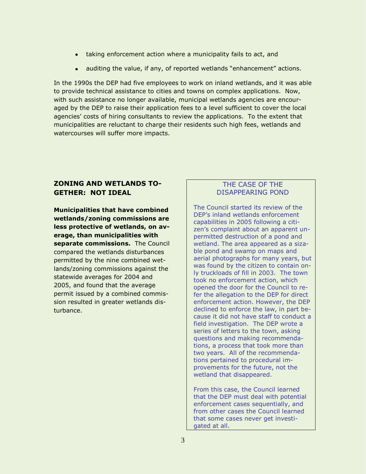- taking enforcement action where a municipality fails to act, and
- auditing the value, if any, of reported wetlands "enhancement" actions.

In the 1990s the DEP had five employees to work on inland wetlands, and it was able to provide technical assistance to cities and towns on complex applications. Now, with such assistance no longer available, municipal wetlands agencies are encouraged by the DEP to raise their application fees to a level sufficient to cover the local agencies" costs of hiring consultants to review the applications. To the extent that municipalities are reluctant to charge their residents such high fees, wetlands and watercourses will suffer more impacts.

## **ZONING AND WETLANDS TO-GETHER: NOT IDEAL**

**Municipalities that have combined wetlands/zoning commissions are less protective of wetlands, on average, than municipalities with separate commissions.** The Council compared the wetlands disturbances permitted by the nine combined wetlands/zoning commissions against the statewide averages for 2004 and 2005, and found that the average permit issued by a combined commission resulted in greater wetlands disturbance.

## THE CASE OF THE DISAPPEARING POND

The Council started its review of the DEP"s inland wetlands enforcement capabilities in 2005 following a citizen's complaint about an apparent unpermitted destruction of a pond and wetland. The area appeared as a sizable pond and swamp on maps and aerial photographs for many years, but was found by the citizen to contain only truckloads of fill in 2003. The town took no enforcement action, which opened the door for the Council to refer the allegation to the DEP for direct enforcement action. However, the DEP declined to enforce the law, in part because it did not have staff to conduct a field investigation. The DEP wrote a series of letters to the town, asking questions and making recommendations, a process that took more than two years. All of the recommendations pertained to procedural improvements for the future, not the wetland that disappeared.

From this case, the Council learned that the DEP must deal with potential enforcement cases sequentially, and from other cases the Council learned that some cases never get investigated at all.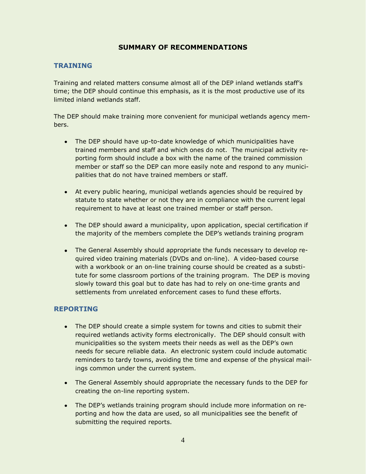## **SUMMARY OF RECOMMENDATIONS**

## **TRAINING**

Training and related matters consume almost all of the DEP inland wetlands staff"s time; the DEP should continue this emphasis, as it is the most productive use of its limited inland wetlands staff.

The DEP should make training more convenient for municipal wetlands agency members.

- The DEP should have up-to-date knowledge of which municipalities have trained members and staff and which ones do not. The municipal activity reporting form should include a box with the name of the trained commission member or staff so the DEP can more easily note and respond to any municipalities that do not have trained members or staff.
- At every public hearing, municipal wetlands agencies should be required by statute to state whether or not they are in compliance with the current legal requirement to have at least one trained member or staff person.
- The DEP should award a municipality, upon application, special certification if the majority of the members complete the DEP"s wetlands training program
- The General Assembly should appropriate the funds necessary to develop required video training materials (DVDs and on-line). A video-based course with a workbook or an on-line training course should be created as a substitute for some classroom portions of the training program. The DEP is moving slowly toward this goal but to date has had to rely on one-time grants and settlements from unrelated enforcement cases to fund these efforts.

### **REPORTING**

- The DEP should create a simple system for towns and cities to submit their required wetlands activity forms electronically. The DEP should consult with municipalities so the system meets their needs as well as the DEP"s own needs for secure reliable data. An electronic system could include automatic reminders to tardy towns, avoiding the time and expense of the physical mailings common under the current system.
- The General Assembly should appropriate the necessary funds to the DEP for creating the on-line reporting system.
- The DEP's wetlands training program should include more information on reporting and how the data are used, so all municipalities see the benefit of submitting the required reports.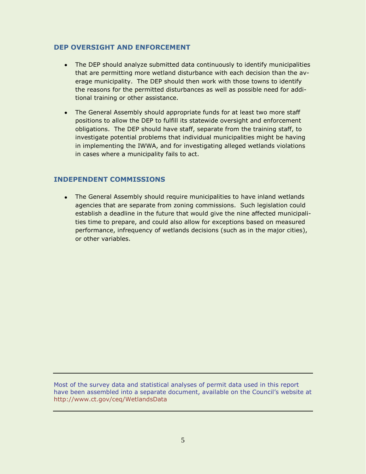### **DEP OVERSIGHT AND ENFORCEMENT**

- The DEP should analyze submitted data continuously to identify municipalities that are permitting more wetland disturbance with each decision than the average municipality. The DEP should then work with those towns to identify the reasons for the permitted disturbances as well as possible need for additional training or other assistance.
- The General Assembly should appropriate funds for at least two more staff positions to allow the DEP to fulfill its statewide oversight and enforcement obligations. The DEP should have staff, separate from the training staff, to investigate potential problems that individual municipalities might be having in implementing the IWWA, and for investigating alleged wetlands violations in cases where a municipality fails to act.

#### **INDEPENDENT COMMISSIONS**

The General Assembly should require municipalities to have inland wetlands agencies that are separate from zoning commissions. Such legislation could establish a deadline in the future that would give the nine affected municipalities time to prepare, and could also allow for exceptions based on measured performance, infrequency of wetlands decisions (such as in the major cities), or other variables.

Most of the survey data and statistical analyses of permit data used in this report have been assembled into a separate document, available on the Council's website at <http://www.ct.gov/ceq/WetlandsData>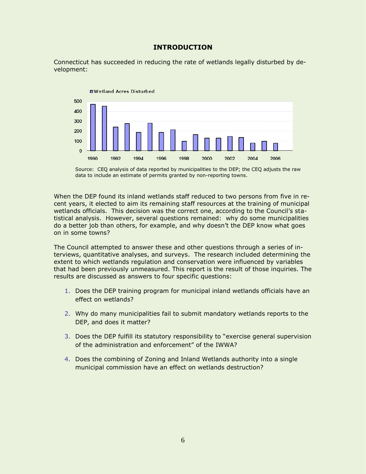#### **INTRODUCTION**

Connecticut has succeeded in reducing the rate of wetlands legally disturbed by development:



Source: CEQ analysis of data reported by municipalities to the DEP; the CEQ adjusts the raw data to include an estimate of permits granted by non-reporting towns.

When the DEP found its inland wetlands staff reduced to two persons from five in recent years, it elected to aim its remaining staff resources at the training of municipal wetlands officials. This decision was the correct one, according to the Council's statistical analysis. However, several questions remained: why do some municipalities do a better job than others, for example, and why doesn"t the DEP know what goes on in some towns?

The Council attempted to answer these and other questions through a series of interviews, quantitative analyses, and surveys. The research included determining the extent to which wetlands regulation and conservation were influenced by variables that had been previously unmeasured. This report is the result of those inquiries. The results are discussed as answers to four specific questions:

- 1. Does the DEP training program for municipal inland wetlands officials have an effect on wetlands?
- 2. Why do many municipalities fail to submit mandatory wetlands reports to the DEP, and does it matter?
- 3. Does the DEP fulfill its statutory responsibility to "exercise general supervision of the administration and enforcement" of the IWWA?
- 4. Does the combining of Zoning and Inland Wetlands authority into a single municipal commission have an effect on wetlands destruction?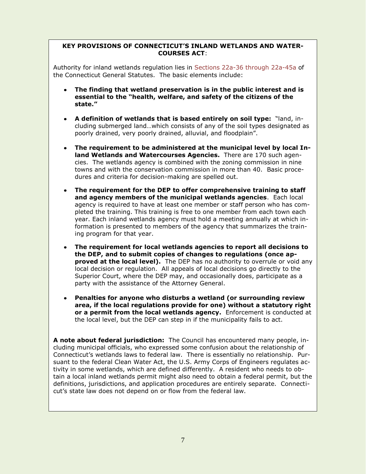## **COURSES ACT**: **KEY PROVISIONS OF CONNECTICUT'S INLAND WETLANDS AND WATER-**

the Connecticut General Statutes. The basic elements include: Authority for inland wetlands regulation lies in [Sections 22a-36 through 22a-45a](http://www.cga.ct.gov/2007/pub/Chap440.htm#Sec22a-36.htm) of

- essential to the "health, welfare, and safety of the citizens of the **essential to the "health, welfare, and safety of the citizens of the The finding that wetland preservation is in the public interest and is state."**
- cluding submerged land...which consists of any of the soil types designated as poorly drained, very poorly drained, alluvial, and floodplain". **A definition of wetlands that is based entirely on soil type:** "land, in-
- **land Wetlands and Watercourses Agencies.** There are 170 such agencies. The wetlands agency is combined with the zoning commission in nine towns and with the conservation commission in more than 40. Basic procedures and criteria for decision-making are spelled out. **The requirement to be administered at the municipal level by local In-**
- dures and criteria for decision-making are spelled out. **and agency members of the municipal wetlands agencies**. Each local agency is required to have at least one member or staff person who has completed the training. This training is free to one member from each town each year. Each inland wetlands agency must hold a meeting annually at which information is presented to members of the agency that summarizes the training program for that year. The agency that summarizes that summarizes the agency that summarizes the agency th **The requirement for the DEP to offer comprehensive training to staff**
- training program for that year. the DEP, and to submit copies of changes to regulations (once ap**proved at the local level).** The DEP has no authority to overrule or void any local decision or regulation. All appeals of local decisions go directly to the Superior Court, where the DEP may, and occasionally does, participate as a party with the assistance of the Attorney General. **The requirement for local wetlands agencies to report all decisions to**
- area, if the local regulations provide for one) without a statutory right **or a permit from the local wetlands agency.** Enforcement is conducted at the local level, but the DEP can step in if the municipality fails to act. **Penalties for anyone who disturbs a wetland (or surrounding review**

cluding municipal officials, who expressed some confusion about the relationship of Connecticut's wetlands laws to federal law. There is essentially no relationship. Pursuant to the federal Clean Water Act, the U.S. Army Corps of Engineers regulates activity in some wetlands, which are defined differently. A resident who needs to obtain a local inland wetlands permit might also need to obtain a federal permit, but the definitions, jurisdictions, and application procedures are entirely separate. Connecticut's state law does not depend on or flow from the federal law. **A note about federal jurisdiction:** The Council has encountered many people, in-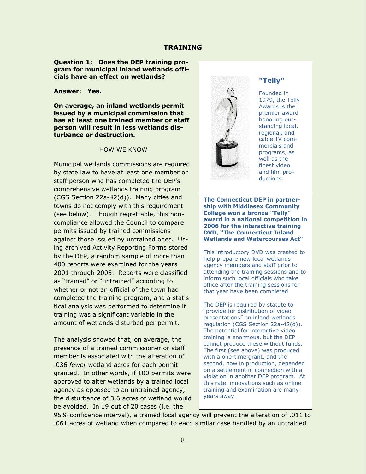#### **Question 1: Does the DEP training program for municipal inland wetlands officials have an effect on wetlands?**

**Answer: Yes.**

**On average, an inland wetlands permit issued by a municipal commission that has at least one trained member or staff person will result in less wetlands disturbance or destruction.**

#### HOW WE KNOW

Municipal wetlands commissions are required by state law to have at least one member or staff person who has completed the DEP"s comprehensive wetlands training program (CGS Section 22a-42(d)). Many cities and towns do not comply with this requirement (see below). Though regrettable, this noncompliance allowed the Council to compare permits issued by trained commissions against those issued by untrained ones. Using archived Activity Reporting Forms stored by the DEP, a random sample of more than 400 reports were examined for the years 2001 through 2005. Reports were classified as "trained" or "untrained" according to whether or not an official of the town had completed the training program, and a statistical analysis was performed to determine if training was a significant variable in the amount of wetlands disturbed per permit.

The analysis showed that, on average, the presence of a trained commissioner or staff member is associated with the alteration of .036 *fewer* wetland acres for each permit granted. In other words, if 100 permits were approved to alter wetlands by a trained local agency as opposed to an untrained agency, the disturbance of 3.6 acres of wetland would be avoided. In 19 out of 20 cases (i.e. the



**"Telly"**

Founded in 1979, the Telly Awards is the premier award honoring outstanding local, regional, and cable TV commercials and programs, as well as the finest video and film productions.

**The Connecticut DEP in partnership with Middlesex Community College won a bronze "Telly" award in a national competition in 2006 for the interactive training DVD, "The Connecticut Inland Wetlands and Watercourses Act"**

This introductory DVD was created to help prepare new local wetlands agency members and staff prior to attending the training sessions and to inform such local officials who take office after the training sessions for that year have been completed.

The DEP is required by statute to "provide for distribution of video presentations" on inland wetlands regulation (CGS Section 22a-42(d)). The potential for interactive video training is enormous, but the DEP cannot produce these without funds. The first (see above) was produced with a one-time grant, and the second, now in production, depended on a settlement in connection with a violation in another DEP program. At this rate, innovations such as online training and examination are many years away.

95% confidence interval), a trained local agency will prevent the alteration of .011 to .061 acres of wetland when compared to each similar case handled by an untrained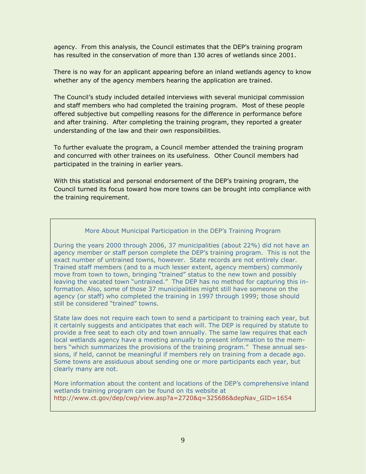agency. From this analysis, the Council estimates that the DEP"s training program has resulted in the conservation of more than 130 acres of wetlands since 2001.

There is no way for an applicant appearing before an inland wetlands agency to know whether any of the agency members hearing the application are trained.

The Council"s study included detailed interviews with several municipal commission and staff members who had completed the training program. Most of these people offered subjective but compelling reasons for the difference in performance before and after training. After completing the training program, they reported a greater understanding of the law and their own responsibilities.

To further evaluate the program, a Council member attended the training program and concurred with other trainees on its usefulness. Other Council members had participated in the training in earlier years.

With this statistical and personal endorsement of the DEP"s training program, the Council turned its focus toward how more towns can be brought into compliance with the training requirement.

#### More About Municipal Participation in the DEP"s Training Program

During the years 2000 through 2006, 37 municipalities (about 22%) did not have an agency member or staff person complete the DEP"s training program. This is not the exact number of untrained towns, however. State records are not entirely clear. Trained staff members (and to a much lesser extent, agency members) commonly move from town to town, bringing "trained" status to the new town and possibly leaving the vacated town "untrained." The DEP has no method for capturing this information. Also, some of those 37 municipalities might still have someone on the agency (or staff) who completed the training in 1997 through 1999; those should still be considered "trained" towns.

State law does not require each town to send a participant to training each year, but it certainly suggests and anticipates that each will. The DEP is required by statute to provide a free seat to each city and town annually. The same law requires that each local wetlands agency have a meeting annually to present information to the members "which summarizes the provisions of the training program." These annual sessions, if held, cannot be meaningful if members rely on training from a decade ago. Some towns are assiduous about sending one or more participants each year, but clearly many are not.

More information about the content and locations of the DEP"s comprehensive inland wetlands training program can be found on its website at [http://www.ct.gov/dep/cwp/view.asp?a=2720&q=325686&depNav\\_GID=1654](http://www.ct.gov/dep/cwp/view.asp?a=2720&q=325686&depNav_GID=1654)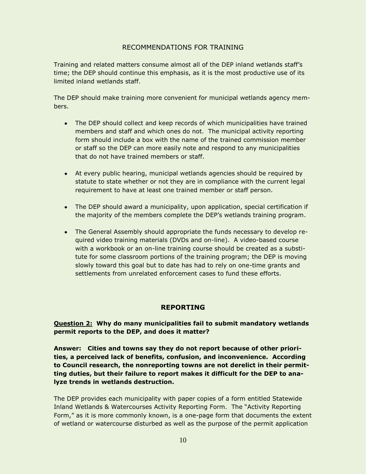## RECOMMENDATIONS FOR TRAINING

Training and related matters consume almost all of the DEP inland wetlands staff"s time; the DEP should continue this emphasis, as it is the most productive use of its limited inland wetlands staff.

The DEP should make training more convenient for municipal wetlands agency members.

- The DEP should collect and keep records of which municipalities have trained members and staff and which ones do not. The municipal activity reporting form should include a box with the name of the trained commission member or staff so the DEP can more easily note and respond to any municipalities that do not have trained members or staff.
- At every public hearing, municipal wetlands agencies should be required by statute to state whether or not they are in compliance with the current legal requirement to have at least one trained member or staff person.
- The DEP should award a municipality, upon application, special certification if the majority of the members complete the DEP"s wetlands training program.
- The General Assembly should appropriate the funds necessary to develop required video training materials (DVDs and on-line). A video-based course with a workbook or an on-line training course should be created as a substitute for some classroom portions of the training program; the DEP is moving slowly toward this goal but to date has had to rely on one-time grants and settlements from unrelated enforcement cases to fund these efforts.

## **REPORTING**

**Question 2: Why do many municipalities fail to submit mandatory wetlands permit reports to the DEP, and does it matter?**

**Answer: Cities and towns say they do not report because of other priorities, a perceived lack of benefits, confusion, and inconvenience. According to Council research, the nonreporting towns are not derelict in their permitting duties, but their failure to report makes it difficult for the DEP to analyze trends in wetlands destruction.**

The DEP provides each municipality with paper copies of a form entitled Statewide Inland Wetlands & Watercourses Activity Reporting Form. The "Activity Reporting Form," as it is more commonly known, is a one-page form that documents the extent of wetland or watercourse disturbed as well as the purpose of the permit application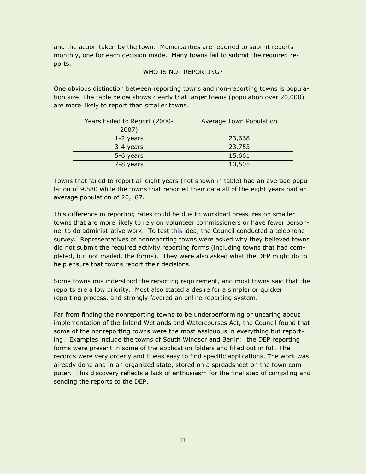and the action taken by the town. Municipalities are required to submit reports monthly, one for each decision made. Many towns fail to submit the required reports.

#### WHO IS NOT REPORTING?

One obvious distinction between reporting towns and non-reporting towns is population size. The table below shows clearly that larger towns (population over 20,000) are more likely to report than smaller towns.

| Years Failed to Report (2000- | <b>Average Town Population</b> |
|-------------------------------|--------------------------------|
| 2007)                         |                                |
| 1-2 years                     | 23,668                         |
| 3-4 years                     | 23,753                         |
| 5-6 years                     | 15,661                         |
| 7-8 years                     | 10,505                         |

Towns that failed to report all eight years (not shown in table) had an average population of 9,580 while the towns that reported their data all of the eight years had an average population of 20,187.

This difference in reporting rates could be due to workload pressures on smaller towns that are more likely to rely on volunteer commissioners or have fewer personnel to do administrative work. To test this idea, the Council conducted a telephone survey. Representatives of nonreporting towns were asked why they believed towns did not submit the required activity reporting forms (including towns that had completed, but not mailed, the forms). They were also asked what the DEP might do to help ensure that towns report their decisions.

Some towns misunderstood the reporting requirement, and most towns said that the reports are a low priority. Most also stated a desire for a simpler or quicker reporting process, and strongly favored an online reporting system.

Far from finding the nonreporting towns to be underperforming or uncaring about implementation of the Inland Wetlands and Watercourses Act, the Council found that some of the nonreporting towns were the most assiduous in everything but reporting. Examples include the towns of South Windsor and Berlin: the DEP reporting forms were present in some of the application folders and filled out in full. The records were very orderly and it was easy to find specific applications. The work was already done and in an organized state, stored on a spreadsheet on the town computer. This discovery reflects a lack of enthusiasm for the final step of compiling and sending the reports to the DEP.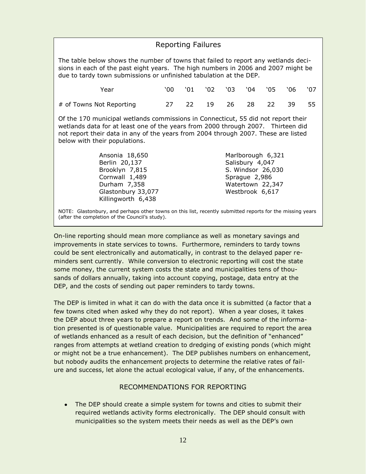## Reporting Failures

The table below shows the number of towns that failed to report any wetlands decisions in each of the past eight years. The high numbers in 2006 and 2007 might be due to tardy town submissions or unfinished tabulation at the DEP.

| Year                     |  | 00 '01 '02 '03 '04 '05 '06 '07 |  |  |  |
|--------------------------|--|--------------------------------|--|--|--|
| # of Towns Not Reporting |  | 27  22  19  26  28  22  39  55 |  |  |  |

Of the 170 municipal wetlands commissions in Connecticut, 55 did not report their wetlands data for at least one of the years from 2000 through 2007. Thirteen did not report their data in any of the years from 2004 through 2007. These are listed below with their populations.

| Ansonia 18,650     | Marlborough 6,321 |
|--------------------|-------------------|
| Berlin 20,137      | Salisbury 4,047   |
| Brooklyn 7,815     | S. Windsor 26,030 |
| Cornwall 1,489     | Sprague 2,986     |
| Durham 7,358       | Watertown 22,347  |
| Glastonbury 33,077 | Westbrook 6,617   |
| Killingworth 6,438 |                   |

NOTE: Glastonbury, and perhaps other towns on this list, recently submitted reports for the missing years (after the completion of the Council's study).

On-line reporting should mean more compliance as well as monetary savings and improvements in state services to towns. Furthermore, reminders to tardy towns could be sent electronically and automatically, in contrast to the delayed paper reminders sent currently. While conversion to electronic reporting will cost the state some money, the current system costs the state and municipalities tens of thousands of dollars annually, taking into account copying, postage, data entry at the DEP, and the costs of sending out paper reminders to tardy towns.

The DEP is limited in what it can do with the data once it is submitted (a factor that a few towns cited when asked why they do not report). When a year closes, it takes the DEP about three years to prepare a report on trends. And some of the information presented is of questionable value. Municipalities are required to report the area of wetlands enhanced as a result of each decision, but the definition of "enhanced" ranges from attempts at wetland creation to dredging of existing ponds (which might or might not be a true enhancement). The DEP publishes numbers on enhancement, but nobody audits the enhancement projects to determine the relative rates of failure and success, let alone the actual ecological value, if any, of the enhancements.

### RECOMMENDATIONS FOR REPORTING

The DEP should create a simple system for towns and cities to submit their required wetlands activity forms electronically. The DEP should consult with municipalities so the system meets their needs as well as the DEP"s own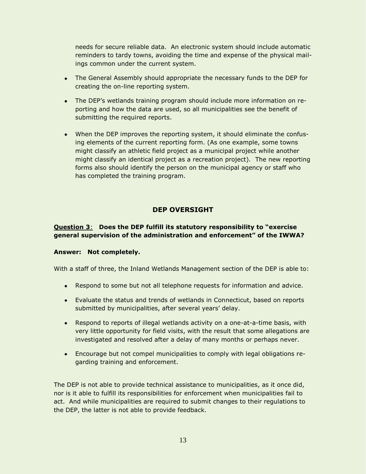needs for secure reliable data. An electronic system should include automatic reminders to tardy towns, avoiding the time and expense of the physical mailings common under the current system.

- The General Assembly should appropriate the necessary funds to the DEP for creating the on-line reporting system.
- The DEP's wetlands training program should include more information on reporting and how the data are used, so all municipalities see the benefit of submitting the required reports.
- When the DEP improves the reporting system, it should eliminate the confusing elements of the current reporting form. (As one example, some towns might classify an athletic field project as a municipal project while another might classify an identical project as a recreation project). The new reporting forms also should identify the person on the municipal agency or staff who has completed the training program.

# **DEP OVERSIGHT**

### **Question 3**: **Does the DEP fulfill its statutory responsibility to "exercise general supervision of the administration and enforcement" of the IWWA?**

#### **Answer: Not completely.**

With a staff of three, the Inland Wetlands Management section of the DEP is able to:

- Respond to some but not all telephone requests for information and advice.
- Evaluate the status and trends of wetlands in Connecticut, based on reports submitted by municipalities, after several years' delay.
- Respond to reports of illegal wetlands activity on a one-at-a-time basis, with very little opportunity for field visits, with the result that some allegations are investigated and resolved after a delay of many months or perhaps never.
- Encourage but not compel municipalities to comply with legal obligations regarding training and enforcement.

The DEP is not able to provide technical assistance to municipalities, as it once did, nor is it able to fulfill its responsibilities for enforcement when municipalities fail to act. And while municipalities are required to submit changes to their regulations to the DEP, the latter is not able to provide feedback.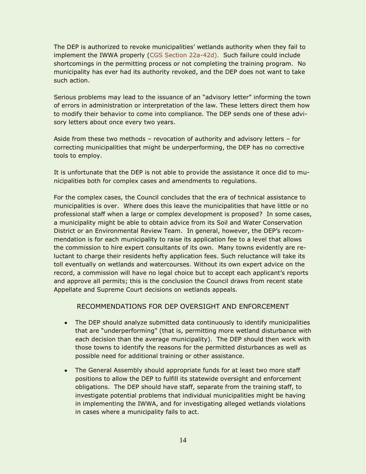The DEP is authorized to revoke municipalities" wetlands authority when they fail to implement the IWWA properly [\(CGS Section 22a-42d\)](http://www.cga.ct.gov/2007/pub/Chap440.htm#Sec22a-42d.htm). Such failure could include shortcomings in the permitting process or not completing the training program. No municipality has ever had its authority revoked, and the DEP does not want to take such action.

Serious problems may lead to the issuance of an "advisory letter" informing the town of errors in administration or interpretation of the law. These letters direct them how to modify their behavior to come into compliance. The DEP sends one of these advisory letters about once every two years.

Aside from these two methods – revocation of authority and advisory letters – for correcting municipalities that might be underperforming, the DEP has no corrective tools to employ.

It is unfortunate that the DEP is not able to provide the assistance it once did to municipalities both for complex cases and amendments to regulations.

For the complex cases, the Council concludes that the era of technical assistance to municipalities is over. Where does this leave the municipalities that have little or no professional staff when a large or complex development is proposed? In some cases, a municipality might be able to obtain advice from its Soil and Water Conservation District or an Environmental Review Team. In general, however, the DEP"s recommendation is for each municipality to raise its application fee to a level that allows the commission to hire expert consultants of its own. Many towns evidently are reluctant to charge their residents hefty application fees. Such reluctance will take its toll eventually on wetlands and watercourses. Without its own expert advice on the record, a commission will have no legal choice but to accept each applicant's reports and approve all permits; this is the conclusion the Council draws from recent state Appellate and Supreme Court decisions on wetlands appeals.

### RECOMMENDATIONS FOR DEP OVERSIGHT AND ENFORCEMENT

- The DEP should analyze submitted data continuously to identify municipalities that are "underperforming" (that is, permitting more wetland disturbance with each decision than the average municipality). The DEP should then work with those towns to identify the reasons for the permitted disturbances as well as possible need for additional training or other assistance.
- The General Assembly should appropriate funds for at least two more staff positions to allow the DEP to fulfill its statewide oversight and enforcement obligations. The DEP should have staff, separate from the training staff, to investigate potential problems that individual municipalities might be having in implementing the IWWA, and for investigating alleged wetlands violations in cases where a municipality fails to act.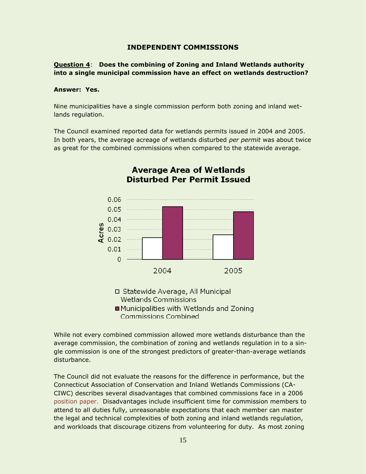#### **INDEPENDENT COMMISSIONS**

**Question 4**: **Does the combining of Zoning and Inland Wetlands authority into a single municipal commission have an effect on wetlands destruction?**

#### **Answer: Yes.**

Nine municipalities have a single commission perform both zoning and inland wetlands regulation.

The Council examined reported data for wetlands permits issued in 2004 and 2005. In both years, the average acreage of wetlands disturbed *per permit* was about twice as great for the combined commissions when compared to the statewide average.



# **Average Area of Wetlands Disturbed Per Permit Issued**

**Wetlands Commissions** ■ Municipalities with Wetlands and Zoning **Commissions Combined** 

While not every combined commission allowed more wetlands disturbance than the average commission, the combination of zoning and wetlands regulation in to a single commission is one of the strongest predictors of greater-than-average wetlands disturbance.

The Council did not evaluate the reasons for the difference in performance, but the Connecticut Association of Conservation and Inland Wetlands Commissions (CA-CIWC) describes several disadvantages that combined commissions face in a 2006 [position paper.](http://www.caciwc.org/library/WS%20Combined_PZ_IWC_3_20_06.pdf) Disadvantages include insufficient time for commission members to attend to all duties fully, unreasonable expectations that each member can master the legal and technical complexities of both zoning and inland wetlands regulation, and workloads that discourage citizens from volunteering for duty. As most zoning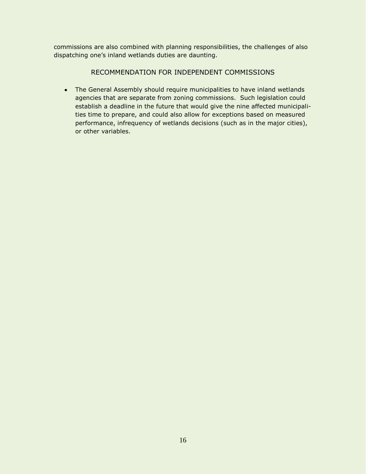commissions are also combined with planning responsibilities, the challenges of also dispatching one"s inland wetlands duties are daunting.

# RECOMMENDATION FOR INDEPENDENT COMMISSIONS

The General Assembly should require municipalities to have inland wetlands agencies that are separate from zoning commissions. Such legislation could establish a deadline in the future that would give the nine affected municipalities time to prepare, and could also allow for exceptions based on measured performance, infrequency of wetlands decisions (such as in the major cities), or other variables.